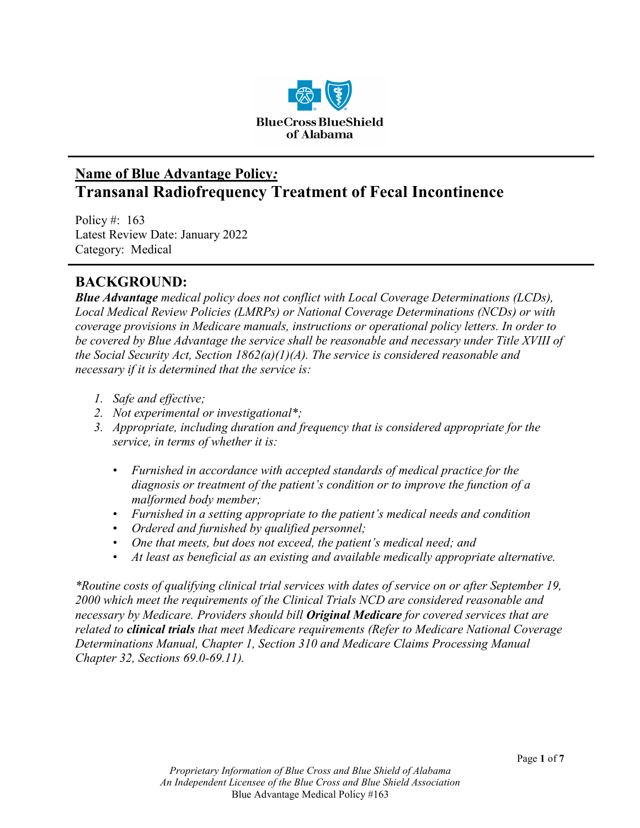

# **Name of Blue Advantage Policy***:* **Transanal Radiofrequency Treatment of Fecal Incontinence**

Policy #: 163 Latest Review Date: January 2022 Category: Medical

# **BACKGROUND:**

*Blue Advantage medical policy does not conflict with Local Coverage Determinations (LCDs), Local Medical Review Policies (LMRPs) or National Coverage Determinations (NCDs) or with coverage provisions in Medicare manuals, instructions or operational policy letters. In order to be covered by Blue Advantage the service shall be reasonable and necessary under Title XVIII of the Social Security Act, Section 1862(a)(1)(A). The service is considered reasonable and necessary if it is determined that the service is:*

- *1. Safe and effective;*
- *2. Not experimental or investigational\*;*
- *3. Appropriate, including duration and frequency that is considered appropriate for the service, in terms of whether it is:*
	- *Furnished in accordance with accepted standards of medical practice for the diagnosis or treatment of the patient's condition or to improve the function of a malformed body member;*
	- *Furnished in a setting appropriate to the patient's medical needs and condition*
	- *Ordered and furnished by qualified personnel;*
	- *One that meets, but does not exceed, the patient's medical need; and*
	- *At least as beneficial as an existing and available medically appropriate alternative.*

*\*Routine costs of qualifying clinical trial services with dates of service on or after September 19, 2000 which meet the requirements of the Clinical Trials NCD are considered reasonable and necessary by Medicare. Providers should bill Original Medicare for covered services that are related to clinical trials that meet Medicare requirements (Refer to Medicare National Coverage Determinations Manual, Chapter 1, Section 310 and Medicare Claims Processing Manual Chapter 32, Sections 69.0-69.11).*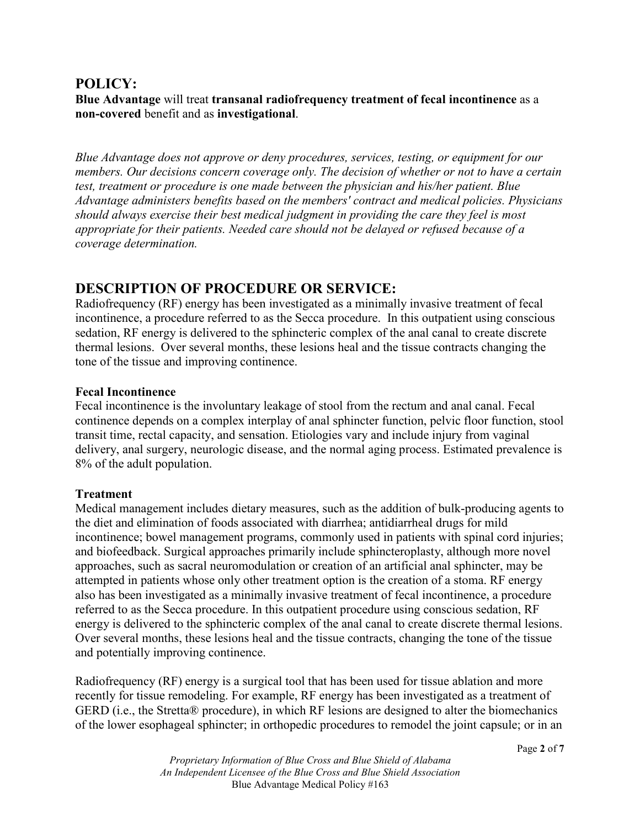## **POLICY:**

**Blue Advantage** will treat **transanal radiofrequency treatment of fecal incontinence** as a **non-covered** benefit and as **investigational**.

*Blue Advantage does not approve or deny procedures, services, testing, or equipment for our members. Our decisions concern coverage only. The decision of whether or not to have a certain test, treatment or procedure is one made between the physician and his/her patient. Blue Advantage administers benefits based on the members' contract and medical policies. Physicians should always exercise their best medical judgment in providing the care they feel is most appropriate for their patients. Needed care should not be delayed or refused because of a coverage determination.*

# **DESCRIPTION OF PROCEDURE OR SERVICE:**

Radiofrequency (RF) energy has been investigated as a minimally invasive treatment of fecal incontinence, a procedure referred to as the Secca procedure. In this outpatient using conscious sedation, RF energy is delivered to the sphincteric complex of the anal canal to create discrete thermal lesions. Over several months, these lesions heal and the tissue contracts changing the tone of the tissue and improving continence.

#### **Fecal Incontinence**

Fecal incontinence is the involuntary leakage of stool from the rectum and anal canal. Fecal continence depends on a complex interplay of anal sphincter function, pelvic floor function, stool transit time, rectal capacity, and sensation. Etiologies vary and include injury from vaginal delivery, anal surgery, neurologic disease, and the normal aging process. Estimated prevalence is 8% of the adult population.

#### **Treatment**

Medical management includes dietary measures, such as the addition of bulk-producing agents to the diet and elimination of foods associated with diarrhea; antidiarrheal drugs for mild incontinence; bowel management programs, commonly used in patients with spinal cord injuries; and biofeedback. Surgical approaches primarily include sphincteroplasty, although more novel approaches, such as sacral neuromodulation or creation of an artificial anal sphincter, may be attempted in patients whose only other treatment option is the creation of a stoma. RF energy also has been investigated as a minimally invasive treatment of fecal incontinence, a procedure referred to as the Secca procedure. In this outpatient procedure using conscious sedation, RF energy is delivered to the sphincteric complex of the anal canal to create discrete thermal lesions. Over several months, these lesions heal and the tissue contracts, changing the tone of the tissue and potentially improving continence.

Radiofrequency (RF) energy is a surgical tool that has been used for tissue ablation and more recently for tissue remodeling. For example, RF energy has been investigated as a treatment of GERD (i.e., the Stretta® procedure), in which RF lesions are designed to alter the biomechanics of the lower esophageal sphincter; in orthopedic procedures to remodel the joint capsule; or in an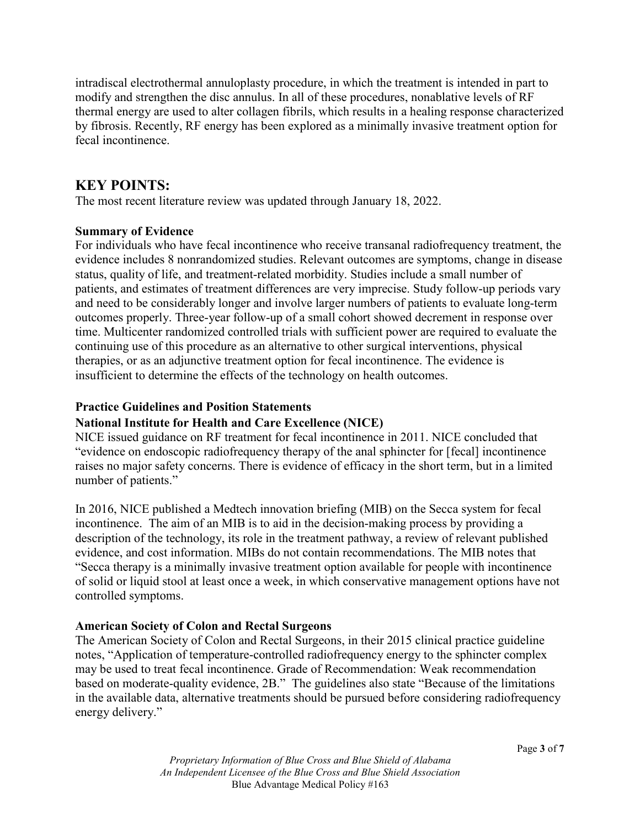intradiscal electrothermal annuloplasty procedure, in which the treatment is intended in part to modify and strengthen the disc annulus. In all of these procedures, nonablative levels of RF thermal energy are used to alter collagen fibrils, which results in a healing response characterized by fibrosis. Recently, RF energy has been explored as a minimally invasive treatment option for fecal incontinence.

# **KEY POINTS:**

The most recent literature review was updated through January 18, 2022.

#### **Summary of Evidence**

For individuals who have fecal incontinence who receive transanal radiofrequency treatment, the evidence includes 8 nonrandomized studies. Relevant outcomes are symptoms, change in disease status, quality of life, and treatment-related morbidity. Studies include a small number of patients, and estimates of treatment differences are very imprecise. Study follow-up periods vary and need to be considerably longer and involve larger numbers of patients to evaluate long-term outcomes properly. Three-year follow-up of a small cohort showed decrement in response over time. Multicenter randomized controlled trials with sufficient power are required to evaluate the continuing use of this procedure as an alternative to other surgical interventions, physical therapies, or as an adjunctive treatment option for fecal incontinence. The evidence is insufficient to determine the effects of the technology on health outcomes.

#### **Practice Guidelines and Position Statements**

## **National Institute for Health and Care Excellence (NICE)**

NICE issued guidance on RF treatment for fecal incontinence in 2011. NICE concluded that "evidence on endoscopic radiofrequency therapy of the anal sphincter for [fecal] incontinence raises no major safety concerns. There is evidence of efficacy in the short term, but in a limited number of patients."

In 2016, NICE published a Medtech innovation briefing (MIB) on the Secca system for fecal incontinence. The aim of an MIB is to aid in the decision-making process by providing a description of the technology, its role in the treatment pathway, a review of relevant published evidence, and cost information. MIBs do not contain recommendations. The MIB notes that "Secca therapy is a minimally invasive treatment option available for people with incontinence of solid or liquid stool at least once a week, in which conservative management options have not controlled symptoms.

## **American Society of Colon and Rectal Surgeons**

The American Society of Colon and Rectal Surgeons, in their 2015 clinical practice guideline notes, "Application of temperature-controlled radiofrequency energy to the sphincter complex may be used to treat fecal incontinence. Grade of Recommendation: Weak recommendation based on moderate-quality evidence, 2B." The guidelines also state "Because of the limitations in the available data, alternative treatments should be pursued before considering radiofrequency energy delivery."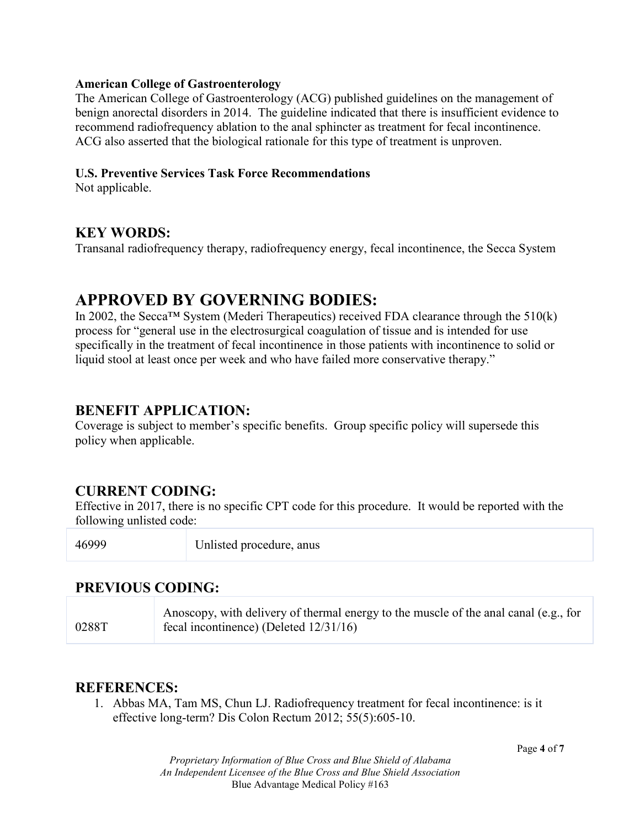#### **American College of Gastroenterology**

The American College of Gastroenterology (ACG) published guidelines on the management of benign anorectal disorders in 2014. The guideline indicated that there is insufficient evidence to recommend radiofrequency ablation to the anal sphincter as treatment for fecal incontinence. ACG also asserted that the biological rationale for this type of treatment is unproven.

#### **U.S. Preventive Services Task Force Recommendations**

Not applicable.

## **KEY WORDS:**

Transanal radiofrequency therapy, radiofrequency energy, fecal incontinence, the Secca System

# **APPROVED BY GOVERNING BODIES:**

In 2002, the Secca<sup>TM</sup> System (Mederi Therapeutics) received FDA clearance through the  $510(k)$ process for "general use in the electrosurgical coagulation of tissue and is intended for use specifically in the treatment of fecal incontinence in those patients with incontinence to solid or liquid stool at least once per week and who have failed more conservative therapy."

## **BENEFIT APPLICATION:**

Coverage is subject to member's specific benefits. Group specific policy will supersede this policy when applicable.

# **CURRENT CODING:**

Effective in 2017, there is no specific CPT code for this procedure. It would be reported with the following unlisted code:

46999 Unlisted procedure, anus

# **PREVIOUS CODING:**

0288T Anoscopy, with delivery of thermal energy to the muscle of the anal canal (e.g., for fecal incontinence) (Deleted 12/31/16)

## **REFERENCES:**

1. Abbas MA, Tam MS, Chun LJ. Radiofrequency treatment for fecal incontinence: is it effective long-term? Dis Colon Rectum 2012; 55(5):605-10.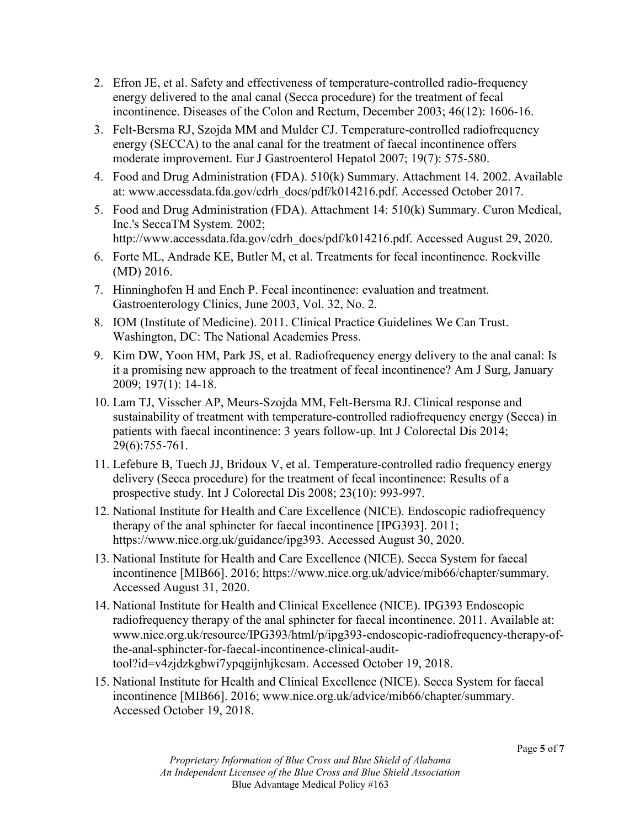- 2. Efron JE, et al. Safety and effectiveness of temperature-controlled radio-frequency energy delivered to the anal canal (Secca procedure) for the treatment of fecal incontinence. Diseases of the Colon and Rectum, December 2003; 46(12): 1606-16.
- 3. Felt-Bersma RJ, Szojda MM and Mulder CJ. Temperature-controlled radiofrequency energy (SECCA) to the anal canal for the treatment of faecal incontinence offers moderate improvement. Eur J Gastroenterol Hepatol 2007; 19(7): 575-580.
- 4. Food and Drug Administration (FDA). 510(k) Summary. Attachment 14. 2002. Available at: www.accessdata.fda.gov/cdrh\_docs/pdf/k014216.pdf. Accessed October 2017.
- 5. Food and Drug Administration (FDA). Attachment 14: 510(k) Summary. Curon Medical, Inc.'s SeccaTM System. 2002; http://www.accessdata.fda.gov/cdrh\_docs/pdf/k014216.pdf. Accessed August 29, 2020.
- 6. Forte ML, Andrade KE, Butler M, et al. Treatments for fecal incontinence. Rockville (MD) 2016.
- 7. Hinninghofen H and Ench P. Fecal incontinence: evaluation and treatment. Gastroenterology Clinics, June 2003, Vol. 32, No. 2.
- 8. IOM (Institute of Medicine). 2011. Clinical Practice Guidelines We Can Trust. Washington, DC: The National Academies Press.
- 9. Kim DW, Yoon HM, Park JS, et al. Radiofrequency energy delivery to the anal canal: Is it a promising new approach to the treatment of fecal incontinence? Am J Surg, January 2009; 197(1): 14-18.
- 10. Lam TJ, Visscher AP, Meurs-Szojda MM, Felt-Bersma RJ. Clinical response and sustainability of treatment with temperature-controlled radiofrequency energy (Secca) in patients with faecal incontinence: 3 years follow-up. Int J Colorectal Dis 2014; 29(6):755-761.
- 11. Lefebure B, Tuech JJ, Bridoux V, et al. Temperature-controlled radio frequency energy delivery (Secca procedure) for the treatment of fecal incontinence: Results of a prospective study. Int J Colorectal Dis 2008; 23(10): 993-997.
- 12. National Institute for Health and Care Excellence (NICE). Endoscopic radiofrequency therapy of the anal sphincter for faecal incontinence [IPG393]. 2011; https://www.nice.org.uk/guidance/ipg393. Accessed August 30, 2020.
- 13. National Institute for Health and Care Excellence (NICE). Secca System for faecal incontinence [MIB66]. 2016; https://www.nice.org.uk/advice/mib66/chapter/summary. Accessed August 31, 2020.
- 14. National Institute for Health and Clinical Excellence (NICE). IPG393 Endoscopic radiofrequency therapy of the anal sphincter for faecal incontinence. 2011. Available at: www.nice.org.uk/resource/IPG393/html/p/ipg393-endoscopic-radiofrequency-therapy-ofthe-anal-sphincter-for-faecal-incontinence-clinical-audittool?id=v4zjdzkgbwi7ypqgijnhjkcsam. Accessed October 19, 2018.
- 15. National Institute for Health and Clinical Excellence (NICE). Secca System for faecal incontinence [MIB66]. 2016; www.nice.org.uk/advice/mib66/chapter/summary. Accessed October 19, 2018.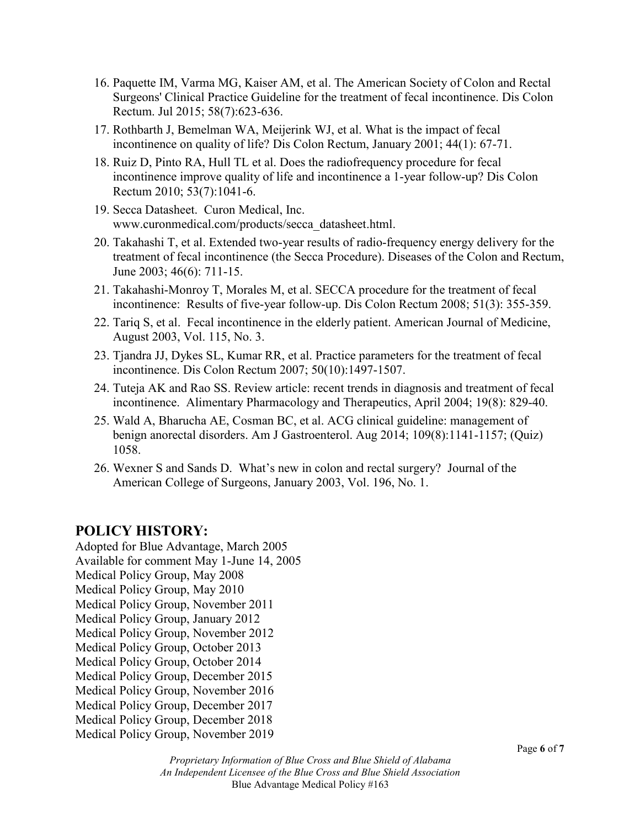- 16. Paquette IM, Varma MG, Kaiser AM, et al. The American Society of Colon and Rectal Surgeons' Clinical Practice Guideline for the treatment of fecal incontinence. Dis Colon Rectum. Jul 2015; 58(7):623-636.
- 17. Rothbarth J, Bemelman WA, Meijerink WJ, et al. What is the impact of fecal incontinence on quality of life? Dis Colon Rectum, January 2001; 44(1): 67-71.
- 18. Ruiz D, Pinto RA, Hull TL et al. Does the radiofrequency procedure for fecal incontinence improve quality of life and incontinence a 1-year follow-up? Dis Colon Rectum 2010; 53(7):1041-6.
- 19. Secca Datasheet. Curon Medical, Inc. www.curonmedical.com/products/secca\_datasheet.html.
- 20. Takahashi T, et al. Extended two-year results of radio-frequency energy delivery for the treatment of fecal incontinence (the Secca Procedure). Diseases of the Colon and Rectum, June 2003; 46(6): 711-15.
- 21. Takahashi-Monroy T, Morales M, et al. SECCA procedure for the treatment of fecal incontinence: Results of five-year follow-up. Dis Colon Rectum 2008; 51(3): 355-359.
- 22. Tariq S, et al. Fecal incontinence in the elderly patient. American Journal of Medicine, August 2003, Vol. 115, No. 3.
- 23. Tjandra JJ, Dykes SL, Kumar RR, et al. Practice parameters for the treatment of fecal incontinence. Dis Colon Rectum 2007; 50(10):1497-1507.
- 24. Tuteja AK and Rao SS. Review article: recent trends in diagnosis and treatment of fecal incontinence. Alimentary Pharmacology and Therapeutics, April 2004; 19(8): 829-40.
- 25. Wald A, Bharucha AE, Cosman BC, et al. ACG clinical guideline: management of benign anorectal disorders. Am J Gastroenterol. Aug 2014; 109(8):1141-1157; (Quiz) 1058.
- 26. Wexner S and Sands D. What's new in colon and rectal surgery? Journal of the American College of Surgeons, January 2003, Vol. 196, No. 1.

# **POLICY HISTORY:**

Adopted for Blue Advantage, March 2005 Available for comment May 1-June 14, 2005 Medical Policy Group, May 2008 Medical Policy Group, May 2010 Medical Policy Group, November 2011 Medical Policy Group, January 2012 Medical Policy Group, November 2012 Medical Policy Group, October 2013 Medical Policy Group, October 2014 Medical Policy Group, December 2015 Medical Policy Group, November 2016 Medical Policy Group, December 2017 Medical Policy Group, December 2018 Medical Policy Group, November 2019